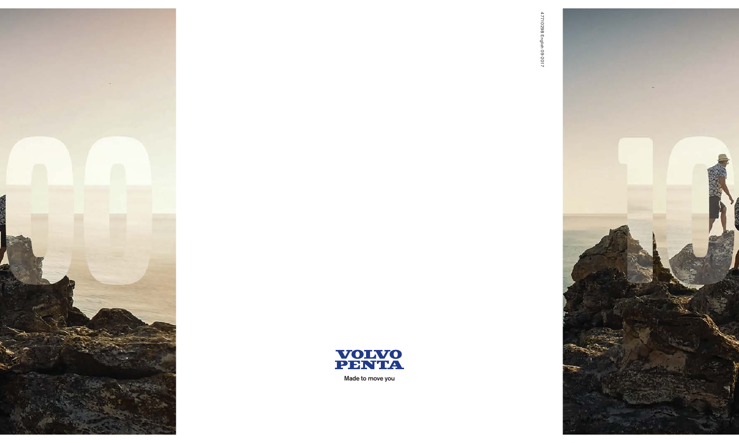



47710298 English 09-2017 47710298 English 09-2017



Made to move you